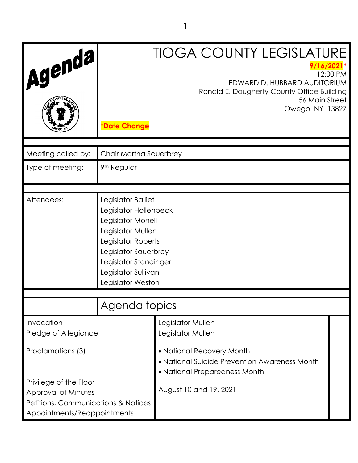| 'Agenda,                                                              | <b>TIOGA COUNTY LEGISLATURE</b><br>$9/16/2021*$<br>12:00 PM<br>EDWARD D. HUBBARD AUDITORIUM<br>Ronald E. Dougherty County Office Building<br>56 Main Street<br>Owego NY 13827 |                           |  |  |
|-----------------------------------------------------------------------|-------------------------------------------------------------------------------------------------------------------------------------------------------------------------------|---------------------------|--|--|
|                                                                       | <b>*Date Change</b>                                                                                                                                                           |                           |  |  |
| Meeting called by:                                                    | Chair Martha Sauerbrey                                                                                                                                                        |                           |  |  |
| Type of meeting:                                                      | 9th Regular                                                                                                                                                                   |                           |  |  |
|                                                                       |                                                                                                                                                                               |                           |  |  |
| Attendees:                                                            | Legislator Balliet                                                                                                                                                            |                           |  |  |
|                                                                       | Legislator Hollenbeck<br>Legislator Monell                                                                                                                                    |                           |  |  |
|                                                                       | Legislator Mullen                                                                                                                                                             |                           |  |  |
|                                                                       | Legislator Roberts                                                                                                                                                            |                           |  |  |
|                                                                       | Legislator Sauerbrey                                                                                                                                                          |                           |  |  |
|                                                                       | Legislator Standinger<br>Legislator Sullivan                                                                                                                                  |                           |  |  |
|                                                                       | Legislator Weston                                                                                                                                                             |                           |  |  |
|                                                                       | Agenda topics                                                                                                                                                                 |                           |  |  |
|                                                                       |                                                                                                                                                                               |                           |  |  |
| Invocation                                                            |                                                                                                                                                                               | Legislator Mullen         |  |  |
| Pledge of Allegiance                                                  | Legislator Mullen                                                                                                                                                             |                           |  |  |
| Proclamations (3)                                                     |                                                                                                                                                                               | • National Recovery Month |  |  |
|                                                                       | • National Suicide Prevention Awareness Month<br>• National Preparedness Month                                                                                                |                           |  |  |
| Privilege of the Floor                                                |                                                                                                                                                                               | August 10 and 19, 2021    |  |  |
| Approval of Minutes<br><b>Petitions, Communications &amp; Notices</b> |                                                                                                                                                                               |                           |  |  |
| Appointments/Reappointments                                           |                                                                                                                                                                               |                           |  |  |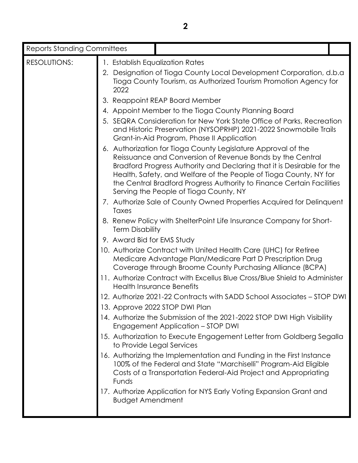| <b>Reports Standing Committees</b> |                                         |                                                                                                                                                                                                                                                                                                                                                                                              |  |
|------------------------------------|-----------------------------------------|----------------------------------------------------------------------------------------------------------------------------------------------------------------------------------------------------------------------------------------------------------------------------------------------------------------------------------------------------------------------------------------------|--|
| RESOLUTIONS:                       | 1. Establish Equalization Rates<br>2022 | 2. Designation of Tioga County Local Development Corporation, d.b.a<br>Tioga County Tourism, as Authorized Tourism Promotion Agency for                                                                                                                                                                                                                                                      |  |
|                                    |                                         | 3. Reappoint REAP Board Member                                                                                                                                                                                                                                                                                                                                                               |  |
|                                    |                                         | 4. Appoint Member to the Tioga County Planning Board                                                                                                                                                                                                                                                                                                                                         |  |
|                                    |                                         | 5. SEQRA Consideration for New York State Office of Parks, Recreation<br>and Historic Preservation (NYSOPRHP) 2021-2022 Snowmobile Trails<br>Grant-in-Aid Program, Phase II Application                                                                                                                                                                                                      |  |
|                                    |                                         | 6. Authorization for Tioga County Legislature Approval of the<br>Reissuance and Conversion of Revenue Bonds by the Central<br>Bradford Progress Authority and Declaring that it is Desirable for the<br>Health, Safety, and Welfare of the People of Tioga County, NY for<br>the Central Bradford Progress Authority to Finance Certain Facilities<br>Serving the People of Tioga County, NY |  |
|                                    | Taxes                                   | 7. Authorize Sale of County Owned Properties Acquired for Delinquent                                                                                                                                                                                                                                                                                                                         |  |
|                                    | <b>Term Disability</b>                  | 8. Renew Policy with ShelterPoint Life Insurance Company for Short-                                                                                                                                                                                                                                                                                                                          |  |
|                                    | 9. Award Bid for EMS Study              |                                                                                                                                                                                                                                                                                                                                                                                              |  |
|                                    |                                         | 10. Authorize Contract with United Health Care (UHC) for Retiree<br>Medicare Advantage Plan/Medicare Part D Prescription Drug<br>Coverage through Broome County Purchasing Alliance (BCPA)<br>11. Authorize Contract with Excellus Blue Cross/Blue Shield to Administer                                                                                                                      |  |
|                                    |                                         | <b>Health Insurance Benefits</b>                                                                                                                                                                                                                                                                                                                                                             |  |
|                                    |                                         | 12. Authorize 2021-22 Contracts with SADD School Associates - STOP DWI<br>13. Approve 2022 STOP DWI Plan                                                                                                                                                                                                                                                                                     |  |
|                                    |                                         | 14. Authorize the Submission of the 2021-2022 STOP DWI High Visibility<br>Engagement Application - STOP DWI                                                                                                                                                                                                                                                                                  |  |
|                                    | to Provide Legal Services               | 15. Authorization to Execute Engagement Letter from Goldberg Segalla                                                                                                                                                                                                                                                                                                                         |  |
|                                    | Funds                                   | 16. Authorizing the Implementation and Funding in the First Instance<br>100% of the Federal and State "Marchiselli" Program-Aid Eligible<br>Costs of a Transportation Federal-Aid Project and Appropriating                                                                                                                                                                                  |  |
|                                    | <b>Budget Amendment</b>                 | 17. Authorize Application for NYS Early Voting Expansion Grant and                                                                                                                                                                                                                                                                                                                           |  |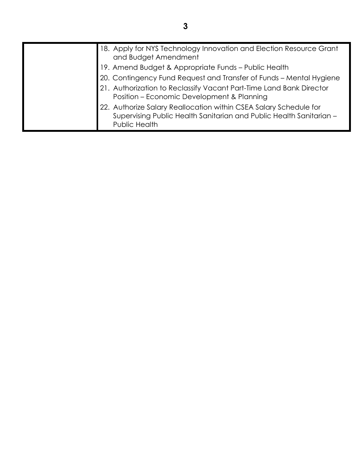| 18. Apply for NYS Technology Innovation and Election Resource Grant<br>and Budget Amendment                                                               |
|-----------------------------------------------------------------------------------------------------------------------------------------------------------|
| 19. Amend Budget & Appropriate Funds - Public Health                                                                                                      |
| 20. Contingency Fund Request and Transfer of Funds - Mental Hygiene                                                                                       |
| 21. Authorization to Reclassify Vacant Part-Time Land Bank Director<br>Position - Economic Development & Planning                                         |
| 22. Authorize Salary Reallocation within CSEA Salary Schedule for<br>Supervising Public Health Sanitarian and Public Health Sanitarian -<br>Public Health |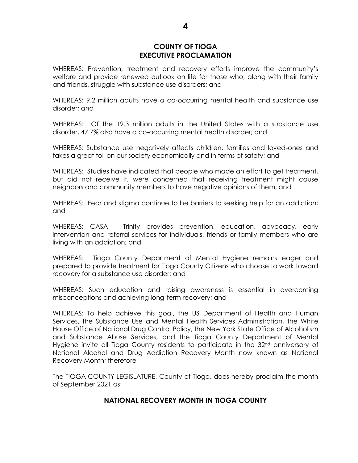#### **COUNTY OF TIOGA EXECUTIVE PROCLAMATION**

WHEREAS: Prevention, treatment and recovery efforts improve the community's welfare and provide renewed outlook on life for those who, along with their family and friends, struggle with substance use disorders; and

WHEREAS: 9.2 million adults have a co-occurring mental health and substance use disorder; and

WHEREAS: Of the 19.3 million adults in the United States with a substance use disorder, 47.7% also have a co-occurring mental health disorder; and

WHEREAS: Substance use negatively affects children, families and loved-ones and takes a great toll on our society economically and in terms of safety; and

WHEREAS: Studies have indicated that people who made an effort to get treatment, but did not receive it, were concerned that receiving treatment might cause neighbors and community members to have negative opinions of them; and

WHEREAS: Fear and stigma continue to be barriers to seeking help for an addiction; and

WHEREAS: CASA - Trinity provides prevention, education, advocacy, early intervention and referral services for individuals, friends or family members who are living with an addiction; and

WHEREAS: Tioga County Department of Mental Hygiene remains eager and prepared to provide treatment for Tioga County Citizens who choose to work toward recovery for a substance use disorder; and

WHEREAS: Such education and raising awareness is essential in overcoming misconceptions and achieving long-term recovery; and

WHEREAS: To help achieve this goal, the US Department of Health and Human Services, the Substance Use and Mental Health Services Administration, the White House Office of National Drug Control Policy, the New York State Office of Alcoholism and Substance Abuse Services, and the Tioga County Department of Mental Hygiene invite all Tioga County residents to participate in the 32<sup>nd</sup> anniversary of National Alcohol and Drug Addiction Recovery Month now known as National Recovery Month; therefore

The TIOGA COUNTY LEGISLATURE, County of Tioga, does hereby proclaim the month of September 2021 as:

## **NATIONAL RECOVERY MONTH IN TIOGA COUNTY**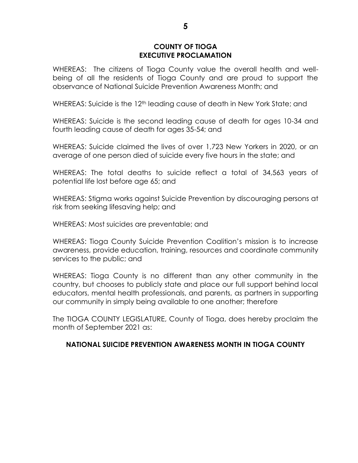#### **COUNTY OF TIOGA EXECUTIVE PROCLAMATION**

WHEREAS: The citizens of Tioga County value the overall health and wellbeing of all the residents of Tioga County and are proud to support the observance of National Suicide Prevention Awareness Month; and

WHEREAS: Suicide is the 12<sup>th</sup> leading cause of death in New York State; and

WHEREAS: Suicide is the second leading cause of death for ages 10-34 and fourth leading cause of death for ages 35-54; and

WHEREAS: Suicide claimed the lives of over 1,723 New Yorkers in 2020, or an average of one person died of suicide every five hours in the state; and

WHEREAS: The total deaths to suicide reflect a total of 34,563 years of potential life lost before age 65; and

WHEREAS: Stigma works against Suicide Prevention by discouraging persons at risk from seeking lifesaving help; and

WHEREAS: Most suicides are preventable; and

WHEREAS: Tioga County Suicide Prevention Coalition's mission is to increase awareness, provide education, training, resources and coordinate community services to the public; and

WHEREAS: Tioga County is no different than any other community in the country, but chooses to publicly state and place our full support behind local educators, mental health professionals, and parents, as partners in supporting our community in simply being available to one another; therefore

The TIOGA COUNTY LEGISLATURE, County of Tioga, does hereby proclaim the month of September 2021 as:

## **NATIONAL SUICIDE PREVENTION AWARENESS MONTH IN TIOGA COUNTY**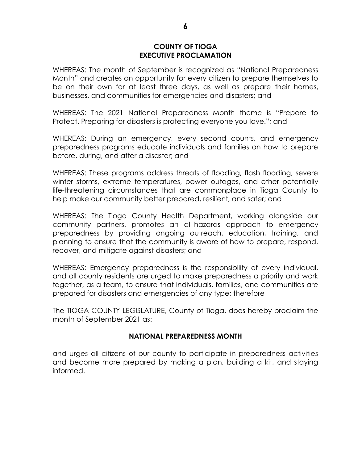#### **COUNTY OF TIOGA EXECUTIVE PROCLAMATION**

WHEREAS: The month of September is recognized as "National Preparedness Month" and creates an opportunity for every citizen to prepare themselves to be on their own for at least three days, as well as prepare their homes, businesses, and communities for emergencies and disasters; and

WHEREAS: The 2021 National Preparedness Month theme is "Prepare to Protect. Preparing for disasters is protecting everyone you love."; and

WHEREAS: During an emergency, every second counts, and emergency preparedness programs educate individuals and families on how to prepare before, during, and after a disaster; and

WHEREAS: These programs address threats of flooding, flash flooding, severe winter storms, extreme temperatures, power outages, and other potentially life-threatening circumstances that are commonplace in Tioga County to help make our community better prepared, resilient, and safer; and

WHEREAS: The Tioga County Health Department, working alongside our community partners, promotes an all-hazards approach to emergency preparedness by providing ongoing outreach, education, training, and planning to ensure that the community is aware of how to prepare, respond, recover, and mitigate against disasters; and

WHEREAS: Emergency preparedness is the responsibility of every individual, and all county residents are urged to make preparedness a priority and work together, as a team, to ensure that individuals, families, and communities are prepared for disasters and emergencies of any type; therefore

The TIOGA COUNTY LEGISLATURE, County of Tioga, does hereby proclaim the month of September 2021 as:

## **NATIONAL PREPAREDNESS MONTH**

and urges all citizens of our county to participate in preparedness activities and become more prepared by making a plan, building a kit, and staying informed.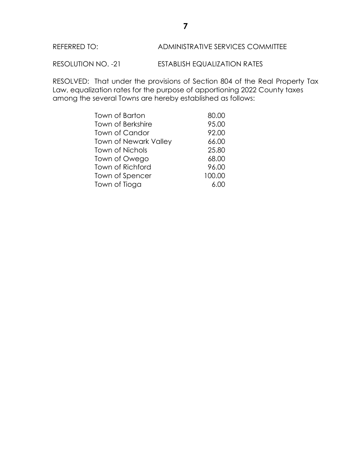## REFERRED TO: ADMINISTRATIVE SERVICES COMMITTEE

RESOLUTION NO. -21 ESTABLISH EQUALIZATION RATES

RESOLVED: That under the provisions of Section 804 of the Real Property Tax Law, equalization rates for the purpose of apportioning 2022 County taxes among the several Towns are hereby established as follows:

| Town of Barton               | 80.00  |
|------------------------------|--------|
| <b>Town of Berkshire</b>     | 95.00  |
| Town of Candor               | 92.00  |
| <b>Town of Newark Valley</b> | 66.00  |
| <b>Town of Nichols</b>       | 25.80  |
| Town of Owego                | 68.00  |
| <b>Town of Richford</b>      | 96.00  |
| Town of Spencer              | 100.00 |
| Town of Tioga                | 6.00   |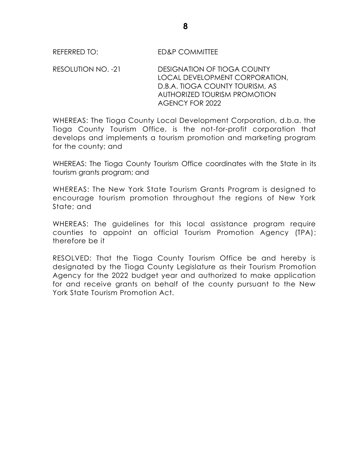RESOLUTION NO. -21 DESIGNATION OF TIOGA COUNTY LOCAL DEVELOPMENT CORPORATION, D.B.A. TIOGA COUNTY TOURISM, AS AUTHORIZED TOURISM PROMOTION AGENCY FOR 2022

WHEREAS: The Tioga County Local Development Corporation, d.b.a. the Tioga County Tourism Office, is the not-for-profit corporation that develops and implements a tourism promotion and marketing program for the county; and

WHEREAS: The Tioga County Tourism Office coordinates with the State in its tourism grants program; and

WHEREAS: The New York State Tourism Grants Program is designed to encourage tourism promotion throughout the regions of New York State; and

WHEREAS: The guidelines for this local assistance program require counties to appoint an official Tourism Promotion Agency (TPA); therefore be it

RESOLVED: That the Tioga County Tourism Office be and hereby is designated by the Tioga County Legislature as their Tourism Promotion Agency for the 2022 budget year and authorized to make application for and receive grants on behalf of the county pursuant to the New York State Tourism Promotion Act.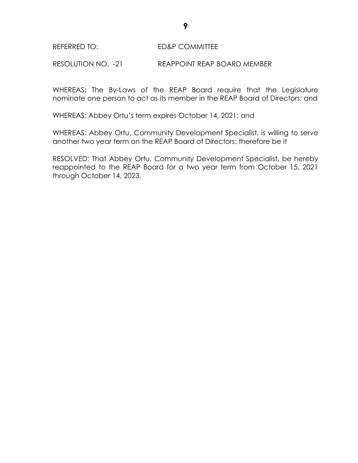RESOLUTION NO. -21 REAPPOINT REAP BOARD MEMBER

WHEREAS: The By-Laws of the REAP Board require that the Legislature nominate one person to act as its member in the REAP Board of Directors; and

WHEREAS: Abbey Ortu's term expires October 14, 2021; and

WHEREAS: Abbey Ortu, Community Development Specialist, is willing to serve another two year term on the REAP Board of Directors; therefore be it

RESOLVED: That Abbey Ortu, Community Development Specialist, be hereby reappointed to the REAP Board for a two year term from October 15, 2021 through October 14, 2023.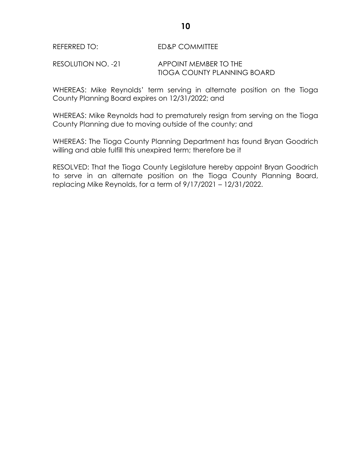#### RESOLUTION NO. -21 APPOINT MEMBER TO THE TIOGA COUNTY PLANNING BOARD

WHEREAS: Mike Reynolds' term serving in alternate position on the Tioga County Planning Board expires on 12/31/2022; and

WHEREAS: Mike Reynolds had to prematurely resign from serving on the Tioga County Planning due to moving outside of the county; and

WHEREAS: The Tioga County Planning Department has found Bryan Goodrich willing and able fulfill this unexpired term; therefore be it

RESOLVED: That the Tioga County Legislature hereby appoint Bryan Goodrich to serve in an alternate position on the Tioga County Planning Board, replacing Mike Reynolds, for a term of 9/17/2021 – 12/31/2022.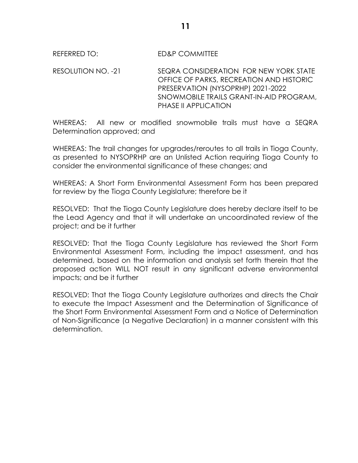RESOLUTION NO. -21 SEQRA CONSIDERATION FOR NEW YORK STATE OFFICE OF PARKS, RECREATION AND HISTORIC PRESERVATION (NYSOPRHP) 2021-2022 SNOWMOBILE TRAILS GRANT-IN-AID PROGRAM, PHASE II APPLICATION

WHEREAS: All new or modified snowmobile trails must have a SEQRA Determination approved; and

WHEREAS: The trail changes for upgrades/reroutes to all trails in Tioga County, as presented to NYSOPRHP are an Unlisted Action requiring Tioga County to consider the environmental significance of these changes; and

WHEREAS: A Short Form Environmental Assessment Form has been prepared for review by the Tioga County Legislature; therefore be it

RESOLVED: That the Tioga County Legislature does hereby declare itself to be the Lead Agency and that it will undertake an uncoordinated review of the project; and be it further

RESOLVED: That the Tioga County Legislature has reviewed the Short Form Environmental Assessment Form, including the impact assessment, and has determined, based on the information and analysis set forth therein that the proposed action WILL NOT result in any significant adverse environmental impacts; and be it further

RESOLVED: That the Tioga County Legislature authorizes and directs the Chair to execute the Impact Assessment and the Determination of Significance of the Short Form Environmental Assessment Form and a Notice of Determination of Non-Significance (a Negative Declaration) in a manner consistent with this determination.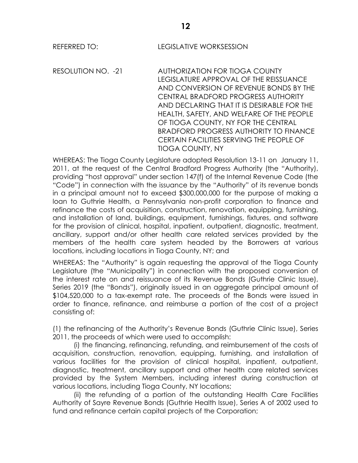REFERRED TO: LEGISLATIVE WORKSESSION

RESOLUTION NO. -21 AUTHORIZATION FOR TIOGA COUNTY LEGISLATURE APPROVAL OF THE REISSUANCE AND CONVERSION OF REVENUE BONDS BY THE CENTRAL BRADFORD PROGRESS AUTHORITY AND DECLARING THAT IT IS DESIRABLE FOR THE HEALTH, SAFETY, AND WELFARE OF THE PEOPLE OF TIOGA COUNTY, NY FOR THE CENTRAL BRADFORD PROGRESS AUTHORITY TO FINANCE CERTAIN FACILITIES SERVING THE PEOPLE OF TIOGA COUNTY, NY

WHEREAS: The Tioga County Legislature adopted Resolution 13-11 on January 11, 2011, at the request of the Central Bradford Progress Authority (the "Authority), providing "host approval" under section 147(f) of the Internal Revenue Code (the "Code") in connection with the issuance by the "Authority" of its revenue bonds in a principal amount not to exceed \$300,000,000 for the purpose of making a loan to Guthrie Health, a Pennsylvania non-profit corporation to finance and refinance the costs of acquisition, construction, renovation, equipping, furnishing, and installation of land, buildings, equipment, furnishings, fixtures, and software for the provision of clinical, hospital, inpatient, outpatient, diagnostic, treatment, ancillary, support and/or other health care related services provided by the members of the health care system headed by the Borrowers at various locations, including locations in Tioga County, NY; and

WHEREAS: The "Authority" is again requesting the approval of the Tioga County Legislature (the "Municipality") in connection with the proposed conversion of the interest rate on and reissuance of its Revenue Bonds (Guthrie Clinic Issue), Series 2019 (the "Bonds"), originally issued in an aggregate principal amount of \$104,520,000 to a tax-exempt rate. The proceeds of the Bonds were issued in order to finance, refinance, and reimburse a portion of the cost of a project consisting of:

(1) the refinancing of the Authority's Revenue Bonds (Guthrie Clinic Issue), Series 2011, the proceeds of which were used to accomplish:

(i) the financing, refinancing, refunding, and reimbursement of the costs of acquisition, construction, renovation, equipping, furnishing, and installation of various facilities for the provision of clinical hospital, inpatient, outpatient, diagnostic, treatment, ancillary support and other health care related services provided by the System Members, including interest during construction at various locations, including Tioga County, NY locations;

(ii) the refunding of a portion of the outstanding Health Care Facilities Authority of Sayre Revenue Bonds (Guthrie Health Issue), Series A of 2002 used to fund and refinance certain capital projects of the Corporation;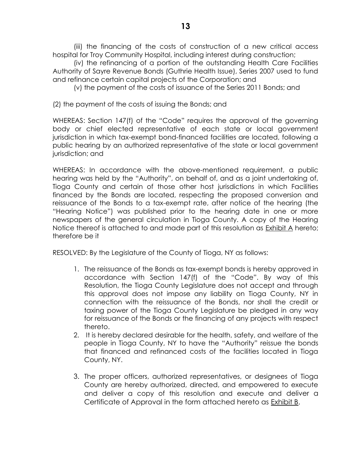(iii) the financing of the costs of construction of a new critical access hospital for Troy Community Hospital, including interest during construction;

(iv) the refinancing of a portion of the outstanding Health Care Facilities Authority of Sayre Revenue Bonds (Guthrie Health Issue), Series 2007 used to fund and refinance certain capital projects of the Corporation; and

(v) the payment of the costs of issuance of the Series 2011 Bonds; and

(2) the payment of the costs of issuing the Bonds; and

WHEREAS: Section 147(f) of the "Code" requires the approval of the governing body or chief elected representative of each state or local government jurisdiction in which tax-exempt bond-financed facilities are located, following a public hearing by an authorized representative of the state or local government jurisdiction; and

WHEREAS: In accordance with the above-mentioned requirement, a public hearing was held by the "Authority", on behalf of, and as a joint undertaking of, Tioga County and certain of those other host jurisdictions in which Facilities financed by the Bonds are located, respecting the proposed conversion and reissuance of the Bonds to a tax-exempt rate, after notice of the hearing (the "Hearing Notice") was published prior to the hearing date in one or more newspapers of the general circulation in Tioga County. A copy of the Hearing Notice thereof is attached to and made part of this resolution as **Exhibit A** hereto; therefore be it

RESOLVED: By the Legislature of the County of Tioga, NY as follows:

- 1. The reissuance of the Bonds as tax-exempt bonds is hereby approved in accordance with Section 147(f) of the "Code". By way of this Resolution, the Tioga County Legislature does not accept and through this approval does not impose any liability on Tioga County, NY in connection with the reissuance of the Bonds, nor shall the credit or taxing power of the Tioga County Legislature be pledged in any way for reissuance of the Bonds or the financing of any projects with respect thereto.
- 2. It is hereby declared desirable for the health, safety, and welfare of the people in Tioga County, NY to have the "Authority" reissue the bonds that financed and refinanced costs of the facilities located in Tioga County, NY.
- 3. The proper officers, authorized representatives, or designees of Tioga County are hereby authorized, directed, and empowered to execute and deliver a copy of this resolution and execute and deliver a Certificate of Approval in the form attached hereto as Exhibit B.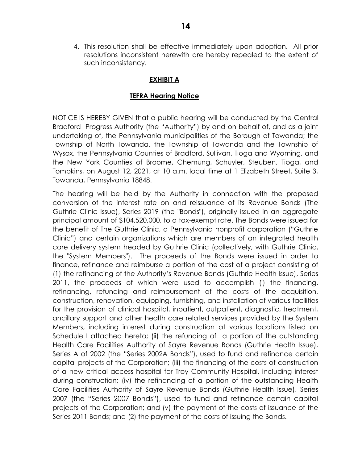4. This resolution shall be effective immediately upon adoption. All prior resolutions inconsistent herewith are hereby repealed to the extent of such inconsistency.

## **EXHIBIT A**

## **TEFRA Hearing Notice**

NOTICE IS HEREBY GIVEN that a public hearing will be conducted by the Central Bradford Progress Authority (the "Authority") by and on behalf of, and as a joint undertaking of, the Pennsylvania municipalities of the Borough of Towanda; the Township of North Towanda, the Township of Towanda and the Township of Wysox, the Pennsylvania Counties of Bradford, Sullivan, Tioga and Wyoming, and the New York Counties of Broome, Chemung, Schuyler, Steuben, Tioga, and Tompkins, on August 12, 2021, at 10 a.m. local time at 1 Elizabeth Street, Suite 3, Towanda, Pennsylvania 18848.

The hearing will be held by the Authority in connection with the proposed conversion of the interest rate on and reissuance of its Revenue Bonds (The Guthrie Clinic Issue), Series 2019 (the "Bonds"), originally issued in an aggregate principal amount of \$104,520,000, to a tax-exempt rate. The Bonds were issued for the benefit of The Guthrie Clinic, a Pennsylvania nonprofit corporation ("Guthrie Clinic") and certain organizations which are members of an integrated health care delivery system headed by Guthrie Clinic (collectively, with Guthrie Clinic, the "System Members"). The proceeds of the Bonds were issued in order to finance, refinance and reimburse a portion of the cost of a project consisting of (1) the refinancing of the Authority's Revenue Bonds (Guthrie Health Issue), Series 2011, the proceeds of which were used to accomplish (i) the financing, refinancing, refunding and reimbursement of the costs of the acquisition, construction, renovation, equipping, furnishing, and installation of various facilities for the provision of clinical hospital, inpatient, outpatient, diagnostic, treatment, ancillary support and other health care related services provided by the System Members, including interest during construction at various locations listed on Schedule I attached hereto; (ii) the refunding of a portion of the outstanding Health Care Facilities Authority of Sayre Revenue Bonds (Guthrie Health Issue), Series A of 2002 (the "Series 2002A Bonds*"*), used to fund and refinance certain capital projects of the Corporation; (iii) the financing of the costs of construction of a new critical access hospital for Troy Community Hospital, including interest during construction; (iv) the refinancing of a portion of the outstanding Health Care Facilities Authority of Sayre Revenue Bonds (Guthrie Health Issue), Series 2007 (the "Series 2007 Bonds"), used to fund and refinance certain capital projects of the Corporation; and (v) the payment of the costs of issuance of the Series 2011 Bonds; and (2) the payment of the costs of issuing the Bonds.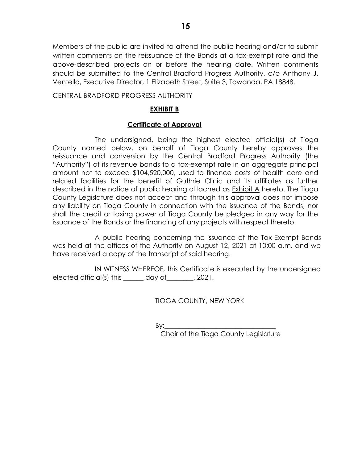Members of the public are invited to attend the public hearing and/or to submit written comments on the reissuance of the Bonds at a tax-exempt rate and the above-described projects on or before the hearing date. Written comments should be submitted to the Central Bradford Progress Authority, c/o Anthony J. Ventello, Executive Director, 1 Elizabeth Street, Suite 3, Towanda, PA 18848.

CENTRAL BRADFORD PROGRESS AUTHORITY

## **EXHIBIT B**

#### **Certificate of Approval**

The undersigned, being the highest elected official(s) of Tioga County named below, on behalf of Tioga County hereby approves the reissuance and conversion by the Central Bradford Progress Authority (the "Authority") of its revenue bonds to a tax-exempt rate in an aggregate principal amount not to exceed \$104,520,000, used to finance costs of health care and related facilities for the benefit of Guthrie Clinic and its affiliates as further described in the notice of public hearing attached as Exhibit A hereto. The Tioga County Legislature does not accept and through this approval does not impose any liability on Tioga County in connection with the issuance of the Bonds, nor shall the credit or taxing power of Tioga County be pledged in any way for the issuance of the Bonds or the financing of any projects with respect thereto.

A public hearing concerning the issuance of the Tax-Exempt Bonds was held at the offices of the Authority on August 12, 2021 at 10:00 a.m. and we have received a copy of the transcript of said hearing.

IN WITNESS WHEREOF, this Certificate is executed by the undersigned elected official(s) this \_\_\_\_\_\_ day of\_\_\_\_\_\_\_\_, 2021.

TIOGA COUNTY, NEW YORK

By:**\_\_\_\_\_\_\_\_\_\_\_\_\_\_\_\_\_\_\_\_\_\_\_\_\_\_\_\_\_\_\_\_\_**

Chair of the Tioga County Legislature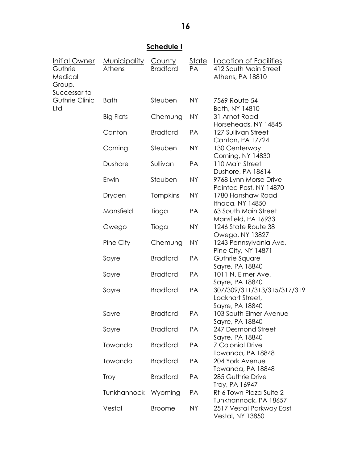# **Schedule I**

| Initial Owner<br>Guthrie<br>Medical<br>Group, | <b>Municipality</b><br>Athens | <u>County</u><br><b>Bradford</b> | <u>State</u><br>PA | Location of Facilities<br>412 South Main Street<br>Athens, PA 18810 |
|-----------------------------------------------|-------------------------------|----------------------------------|--------------------|---------------------------------------------------------------------|
| Successor to<br>Guthrie Clinic<br>Ltd         | <b>Bath</b>                   | Steuben                          | <b>NY</b>          | 7569 Route 54<br>Bath, NY 14810                                     |
|                                               | <b>Big Flats</b>              | Chemung                          | <b>NY</b>          | 31 Arnot Road<br>Horseheads, NY 14845                               |
|                                               | Canton                        | <b>Bradford</b>                  | PA                 | 127 Sullivan Street<br><b>Canton, PA 17724</b>                      |
|                                               | Corning                       | Steuben                          | <b>NY</b>          | 130 Centerway<br>Corning, NY 14830                                  |
|                                               | Dushore                       | Sullivan                         | PA                 | 110 Main Street<br>Dushore, PA 18614                                |
|                                               | Erwin                         | Steuben                          | <b>NY</b>          | 9768 Lynn Morse Drive<br>Painted Post, NY 14870                     |
|                                               | Dryden                        | Tompkins                         | <b>NY</b>          | 1780 Hanshaw Road<br>Ithaca, NY 14850                               |
|                                               | Mansfield                     | Tioga                            | PA                 | 63 South Main Street<br>Mansfield, PA 16933                         |
|                                               | Owego                         | Tioga                            | <b>NY</b>          | 1246 State Route 38<br>Owego, NY 13827                              |
|                                               | Pine City                     | Chemung                          | <b>NY</b>          | 1243 Pennsylvania Ave,<br>Pine City, NY 14871                       |
|                                               | Sayre                         | <b>Bradford</b>                  | PA                 | Guthrie Square<br>Sayre, PA 18840                                   |
|                                               | Sayre                         | <b>Bradford</b>                  | PA                 | 1011 N. Elmer Ave.<br>Sayre, PA 18840                               |
|                                               | Sayre                         | <b>Bradford</b>                  | PA                 | 307/309/311/313/315/317/319<br>Lockhart Street,<br>Sayre, PA 18840  |
|                                               | Sayre                         | <b>Bradford</b>                  | PA                 | 103 South Elmer Avenue<br>Sayre, PA 18840                           |
|                                               | Sayre                         | <b>Bradford</b>                  | PA                 | 247 Desmond Street<br>Sayre, PA 18840                               |
|                                               | Towanda                       | <b>Bradford</b>                  | PA                 | <b>7 Colonial Drive</b><br>Towanda, PA 18848                        |
|                                               | Towanda                       | <b>Bradford</b>                  | PA                 | 204 York Avenue<br>Towanda, PA 18848                                |
|                                               | <b>Troy</b>                   | <b>Bradford</b>                  | PA                 | 285 Guthrie Drive<br>Troy, PA 16947                                 |
|                                               | <b>Tunkhannock</b>            | Wyoming                          | PA                 | Rt-6 Town Plaza Suite 2<br>Tunkhannock, PA 18657                    |
|                                               | Vestal                        | <b>Broome</b>                    | <b>NY</b>          | 2517 Vestal Parkway East<br><b>Vestal, NY 13850</b>                 |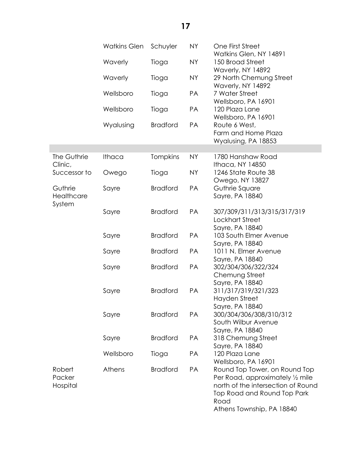|              | <b>Watkins Glen</b> | Schuyler        | <b>NY</b> | One First Street<br>Watkins Glen, NY 14891            |
|--------------|---------------------|-----------------|-----------|-------------------------------------------------------|
|              | Waverly             | Tioga           | <b>NY</b> | 150 Broad Street                                      |
|              |                     |                 |           | Waverly, NY 14892                                     |
|              | Waverly             | Tioga           | <b>NY</b> | 29 North Chemung Street                               |
|              |                     |                 |           | Waverly, NY 14892                                     |
|              | Wellsboro           | Tioga           | PA        | 7 Water Street<br>Wellsboro, PA 16901                 |
|              | Wellsboro           | Tioga           | PA        | 120 Plaza Lane                                        |
|              |                     |                 |           | Wellsboro, PA 16901                                   |
|              | Wyalusing           | <b>Bradford</b> | PA        | Route 6 West,                                         |
|              |                     |                 |           | Farm and Home Plaza                                   |
|              |                     |                 |           | Wyalusing, PA 18853                                   |
| The Guthrie  | <b>Ithaca</b>       | <b>Tompkins</b> | <b>NY</b> | 1780 Hanshaw Road                                     |
| Clinic,      |                     |                 |           | Ithaca, NY 14850                                      |
| Successor to | Owego               | Tioga           | <b>NY</b> | 1246 State Route 38                                   |
|              |                     |                 |           | Owego, NY 13827                                       |
| Guthrie      | Sayre               | <b>Bradford</b> | PA        | Guthrie Square                                        |
| Healthcare   |                     |                 |           | Sayre, PA 18840                                       |
| System       |                     | <b>Bradford</b> | PA        |                                                       |
|              | Sayre               |                 |           | 307/309/311/313/315/317/319<br><b>Lockhart Street</b> |
|              |                     |                 |           | Sayre, PA 18840                                       |
|              | Sayre               | <b>Bradford</b> | PA        | 103 South Elmer Avenue                                |
|              |                     |                 |           | Sayre, PA 18840                                       |
|              | Sayre               | <b>Bradford</b> | PA        | 1011 N. Elmer Avenue                                  |
|              |                     |                 |           | Sayre, PA 18840                                       |
|              | Sayre               | <b>Bradford</b> | PA        | 302/304/306/322/324                                   |
|              |                     |                 |           | Chemung Street                                        |
|              |                     | <b>Bradford</b> | PA        | Sayre, PA 18840<br>311/317/319/321/323                |
|              | Sayre               |                 |           | Hayden Street                                         |
|              |                     |                 |           | Sayre, PA 18840                                       |
|              | Sayre               | <b>Bradford</b> | PA        | 300/304/306/308/310/312                               |
|              |                     |                 |           | South Wilbur Avenue                                   |
|              |                     |                 |           | Sayre, PA 18840                                       |
|              | Sayre               | <b>Bradford</b> | PA        | 318 Chemung Street                                    |
|              |                     |                 |           | Sayre, PA 18840                                       |
|              | Wellsboro           | Tioga           | PA        | 120 Plaza Lane                                        |
| Robert       | Athens              | <b>Bradford</b> | PA        | Wellsboro, PA 16901<br>Round Top Tower, on Round Top  |
| Packer       |                     |                 |           | Per Road, approximately 1/2 mile                      |
| Hospital     |                     |                 |           | north of the intersection of Round                    |
|              |                     |                 |           | Top Road and Round Top Park                           |
|              |                     |                 |           | Road                                                  |
|              |                     |                 |           | Athens Township, PA 18840                             |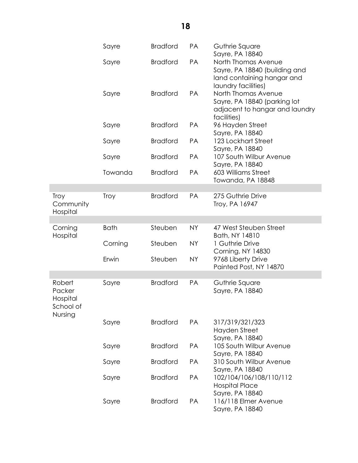|                                                      | Sayre       | <b>Bradford</b> | PA        | Guthrie Square<br>Sayre, PA 18840                                                                                           |
|------------------------------------------------------|-------------|-----------------|-----------|-----------------------------------------------------------------------------------------------------------------------------|
|                                                      | Sayre       | <b>Bradford</b> | PA        | North Thomas Avenue<br>Sayre, PA 18840 (building and<br>land containing hangar and                                          |
|                                                      | Sayre       | <b>Bradford</b> | PA        | laundry facilities)<br>North Thomas Avenue<br>Sayre, PA 18840 (parking lot<br>adjacent to hangar and laundry<br>facilities) |
|                                                      | Sayre       | <b>Bradford</b> | PA        | 96 Hayden Street<br>Sayre, PA 18840                                                                                         |
|                                                      | Sayre       | <b>Bradford</b> | PA        | 123 Lockhart Street<br>Sayre, PA 18840                                                                                      |
|                                                      | Sayre       | <b>Bradford</b> | PA        | 107 South Wilbur Avenue<br>Sayre, PA 18840                                                                                  |
|                                                      | Towanda     | <b>Bradford</b> | <b>PA</b> | 603 Williams Street<br>Towanda, PA 18848                                                                                    |
|                                                      |             |                 |           |                                                                                                                             |
| <b>Troy</b><br>Community<br>Hospital                 | <b>Troy</b> | <b>Bradford</b> | PA        | 275 Guthrie Drive<br>Troy, PA 16947                                                                                         |
|                                                      |             |                 |           |                                                                                                                             |
| Corning<br>Hospital                                  | <b>Bath</b> | Steuben         | <b>NY</b> | 47 West Steuben Street<br>Bath, NY 14810                                                                                    |
|                                                      | Corning     | Steuben         | <b>NY</b> | 1 Guthrie Drive<br>Corning, NY 14830                                                                                        |
|                                                      | Erwin       | Steuben         | <b>NY</b> | 9768 Liberty Drive<br>Painted Post, NY 14870                                                                                |
|                                                      |             |                 |           |                                                                                                                             |
| Robert<br>Packer<br>Hospital<br>School of<br>Nursing | Sayre       | <b>Bradford</b> | PA        | Guthrie Square<br>Sayre, PA 18840                                                                                           |
|                                                      | Sayre       | <b>Bradford</b> | PA        | 317/319/321/323<br>Hayden Street<br>Sayre, PA 18840                                                                         |
|                                                      | Sayre       | <b>Bradford</b> | PA        | 105 South Wilbur Avenue<br>Sayre, PA 18840                                                                                  |
|                                                      | Sayre       | <b>Bradford</b> | PA        | 310 South Wilbur Avenue<br>Sayre, PA 18840                                                                                  |
|                                                      | Sayre       | <b>Bradford</b> | PA        | 102/104/106/108/110/112<br><b>Hospital Place</b><br>Sayre, PA 18840                                                         |
|                                                      | Sayre       | <b>Bradford</b> | PA        | 116/118 Elmer Avenue<br>Sayre, PA 18840                                                                                     |

**18**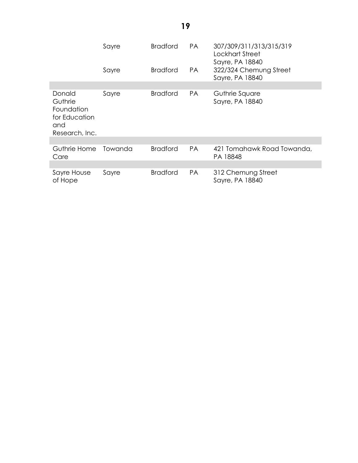|                                                                           | Sayre<br>Sayre | <b>Bradford</b><br><b>Bradford</b> | PA.<br>PA. | 307/309/311/313/315/319<br>Lockhart Street<br>Sayre, PA 18840<br>322/324 Chemung Street |
|---------------------------------------------------------------------------|----------------|------------------------------------|------------|-----------------------------------------------------------------------------------------|
|                                                                           |                |                                    |            | Sayre, PA 18840                                                                         |
|                                                                           |                |                                    |            |                                                                                         |
| Donald<br>Guthrie<br>Foundation<br>for Education<br>and<br>Research, Inc. | Sayre          | <b>Bradford</b>                    | PA.        | Guthrie Square<br>Sayre, PA 18840                                                       |
|                                                                           |                |                                    |            |                                                                                         |
| Guthrie Home<br>Care                                                      | Towanda        | <b>Bradford</b>                    | <b>PA</b>  | 421 Tomahawk Road Towanda,<br>PA 18848                                                  |
|                                                                           |                |                                    |            |                                                                                         |
| Sayre House<br>of Hope                                                    | Sayre          | <b>Bradford</b>                    | <b>PA</b>  | 312 Chemung Street<br>Sayre, PA 18840                                                   |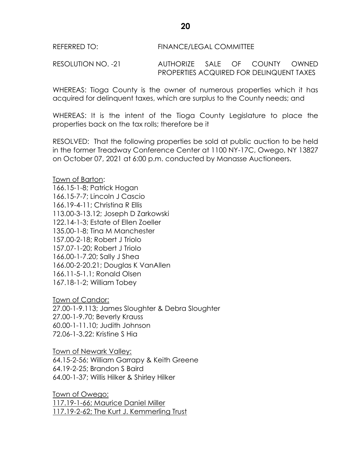REFERRED TO: FINANCE/LEGAL COMMITTEE

RESOLUTION NO. -21 AUTHORIZE SALE OF COUNTY OWNED PROPERTIES ACQUIRED FOR DELINQUENT TAXES

WHEREAS: Tioga County is the owner of numerous properties which it has acquired for delinquent taxes, which are surplus to the County needs; and

WHEREAS: It is the intent of the Tioga County Legislature to place the properties back on the tax rolls; therefore be it

RESOLVED: That the following properties be sold at public auction to be held in the former Treadway Conference Center at 1100 NY-17C, Owego, NY 13827 on October 07, 2021 at 6:00 p.m. conducted by Manasse Auctioneers.

Town of Barton: 166.15-1-8; Patrick Hogan 166.15-7-7; Lincoln J Cascio 166.19-4-11; Christina R Ellis 113.00-3-13.12; Joseph D Zarkowski 122.14-1-3; Estate of Ellen Zoeller 135.00-1-8; Tina M Manchester 157.00-2-18; Robert J Triolo 157.07-1-20; Robert J Triolo 166.00-1-7.20; Sally J Shea 166.00-2-20.21; Douglas K VanAllen 166.11-5-1.1; Ronald Olsen 167.18-1-2; William Tobey

Town of Candor: 27.00-1-9.113; James Sloughter & Debra Sloughter 27.00-1-9.70; Beverly Krauss 60.00-1-11.10; Judith Johnson 72.06-1-3.22: Kristine S Hia

Town of Newark Valley: 64.15-2-56; William Garrapy & Keith Greene 64.19-2-25; Brandon S Baird 64.00-1-37; Willis Hilker & Shirley Hilker

Town of Owego: 117.19-1-66; Maurice Daniel Miller 117.19-2-62; The Kurt J. Kemmerling Trust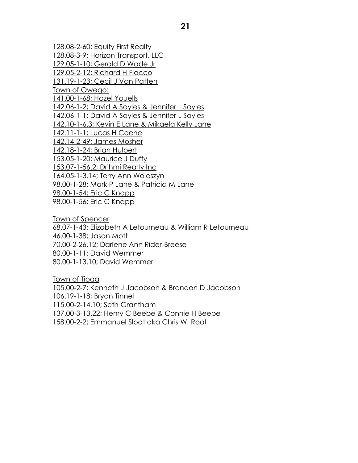128.08-2-60; Equity First Realty 128.08-3-9; Horizon Transport, LLC 129.05-1-10; Gerald D Wade Jr 129.05-2-12; Richard H Fiacco 131.19-1-23; Cecil J Van Patten Town of Owego: 141.00-1-68; Hazel Youells 142.06-1-2; David A Sayles & Jennifer L Sayles 142.06-1-1; David A Sayles & Jennifer L Sayles 142.10-1-6.3; Kevin E Lane & Mikaela Kelly Lane 142.11-1-1; Lucas H Coene 142.14-2-49; James Mosher 142.18-1-24; Brian Hulbert 153.05-1-20; Maurice J Duffy 153.07-1-56.2; Drihmi Realty Inc 164.05-1-3.14; Terry Ann Woloszyn 98.00-1-28; Mark P Lane & Patricia M Lane 98.00-1-54; Eric C Knapp 98.00-1-56; Eric C Knapp

Town of Spencer 68.07-1-43; Elizabeth A Letourneau & William R Letourneau 46.00-1-38; Jason Mott 70.00-2-26.12; Darlene Ann Rider-Breese 80.00-1-11; David Wemmer 80.00-1-13.10; David Wemmer

Town of Tioga 105.00-2-7; Kenneth J Jacobson & Brandon D Jacobson 106.19-1-18; Bryan Tinnel 115.00-2-14.10; Seth Grantham 137.00-3-13.22; Henry C Beebe & Connie H Beebe 158.00-2-2; Emmanuel Sloat aka Chris W. Root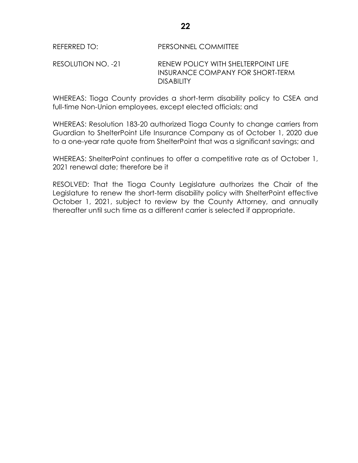## REFERRED TO: PERSONNEL COMMITTEE

## RESOLUTION NO. -21 RENEW POLICY WITH SHELTERPOINT LIFE INSURANCE COMPANY FOR SHORT-TERM DISABILITY

WHEREAS: Tioga County provides a short-term disability policy to CSEA and full-time Non-Union employees, except elected officials; and

WHEREAS: Resolution 183-20 authorized Tioga County to change carriers from Guardian to ShelterPoint Life Insurance Company as of October 1, 2020 due to a one-year rate quote from ShelterPoint that was a significant savings; and

WHEREAS: ShelterPoint continues to offer a competitive rate as of October 1, 2021 renewal date; therefore be it

RESOLVED: That the Tioga County Legislature authorizes the Chair of the Legislature to renew the short-term disability policy with ShelterPoint effective October 1, 2021, subject to review by the County Attorney, and annually thereafter until such time as a different carrier is selected if appropriate.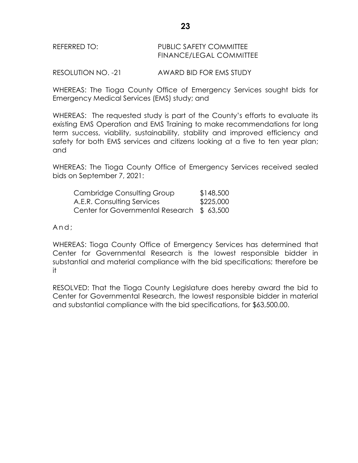| REFERRED TO: | PUBLIC SAFETY COMMITTEE |
|--------------|-------------------------|
|              | FINANCE/LEGAL COMMITTEE |

RESOLUTION NO. -21 AWARD BID FOR EMS STUDY

WHEREAS: The Tioga County Office of Emergency Services sought bids for Emergency Medical Services (EMS) study; and

WHEREAS: The requested study is part of the County's efforts to evaluate its existing EMS Operation and EMS Training to make recommendations for long term success, viability, sustainability, stability and improved efficiency and safety for both EMS services and citizens looking at a five to ten year plan; and

WHEREAS: The Tioga County Office of Emergency Services received sealed bids on September 7, 2021:

| Cambridge Consulting Group                | \$148,500 |
|-------------------------------------------|-----------|
| A.E.R. Consulting Services                | \$225,000 |
| Center for Governmental Research \$63,500 |           |

And:

WHEREAS: Tioga County Office of Emergency Services has determined that Center for Governmental Research is the lowest responsible bidder in substantial and material compliance with the bid specifications; therefore be it

RESOLVED: That the Tioga County Legislature does hereby award the bid to Center for Governmental Research, the lowest responsible bidder in material and substantial compliance with the bid specifications, for \$63,500.00.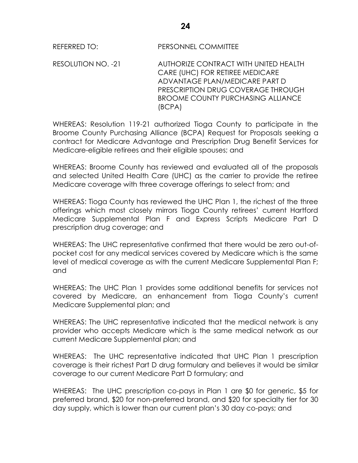RESOLUTION NO. -21 AUTHORIZE CONTRACT WITH UNITED HEALTH CARE (UHC) FOR RETIREE MEDICARE ADVANTAGE PLAN/MEDICARE PART D PRESCRIPTION DRUG COVERAGE THROUGH BROOME COUNTY PURCHASING ALLIANCE (BCPA)

WHEREAS: Resolution 119-21 authorized Tioga County to participate in the Broome County Purchasing Alliance (BCPA) Request for Proposals seeking a contract for Medicare Advantage and Prescription Drug Benefit Services for Medicare-eligible retirees and their eligible spouses; and

WHEREAS: Broome County has reviewed and evaluated all of the proposals and selected United Health Care (UHC) as the carrier to provide the retiree Medicare coverage with three coverage offerings to select from; and

WHEREAS: Tioga County has reviewed the UHC Plan 1, the richest of the three offerings which most closely mirrors Tioga County retirees' current Hartford Medicare Supplemental Plan F and Express Scripts Medicare Part D prescription drug coverage; and

WHEREAS: The UHC representative confirmed that there would be zero out-ofpocket cost for any medical services covered by Medicare which is the same level of medical coverage as with the current Medicare Supplemental Plan F; and

WHEREAS: The UHC Plan 1 provides some additional benefits for services not covered by Medicare, an enhancement from Tioga County's current Medicare Supplemental plan; and

WHEREAS: The UHC representative indicated that the medical network is any provider who accepts Medicare which is the same medical network as our current Medicare Supplemental plan; and

WHEREAS: The UHC representative indicated that UHC Plan 1 prescription coverage is their richest Part D drug formulary and believes it would be similar coverage to our current Medicare Part D formulary; and

WHEREAS: The UHC prescription co-pays in Plan 1 are \$0 for generic, \$5 for preferred brand, \$20 for non-preferred brand, and \$20 for specialty tier for 30 day supply, which is lower than our current plan's 30 day co-pays; and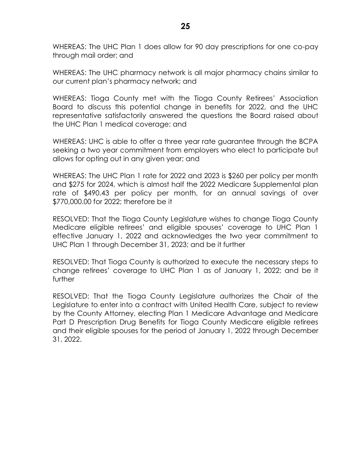WHEREAS: The UHC Plan 1 does allow for 90 day prescriptions for one co-pay through mail order; and

WHEREAS: The UHC pharmacy network is all major pharmacy chains similar to our current plan's pharmacy network; and

WHEREAS: Tioga County met with the Tioga County Retirees' Association Board to discuss this potential change in benefits for 2022, and the UHC representative satisfactorily answered the questions the Board raised about the UHC Plan 1 medical coverage; and

WHEREAS: UHC is able to offer a three year rate guarantee through the BCPA seeking a two year commitment from employers who elect to participate but allows for opting out in any given year; and

WHEREAS: The UHC Plan 1 rate for 2022 and 2023 is \$260 per policy per month and \$275 for 2024, which is almost half the 2022 Medicare Supplemental plan rate of \$490.43 per policy per month, for an annual savings of over \$770,000.00 for 2022; therefore be it

RESOLVED: That the Tioga County Legislature wishes to change Tioga County Medicare eligible retirees' and eligible spouses' coverage to UHC Plan 1 effective January 1, 2022 and acknowledges the two year commitment to UHC Plan 1 through December 31, 2023; and be it further

RESOLVED: That Tioga County is authorized to execute the necessary steps to change retirees' coverage to UHC Plan 1 as of January 1, 2022; and be it further

RESOLVED: That the Tioga County Legislature authorizes the Chair of the Legislature to enter into a contract with United Health Care, subject to review by the County Attorney, electing Plan 1 Medicare Advantage and Medicare Part D Prescription Drug Benefits for Tioga County Medicare eligible retirees and their eligible spouses for the period of January 1, 2022 through December 31, 2022.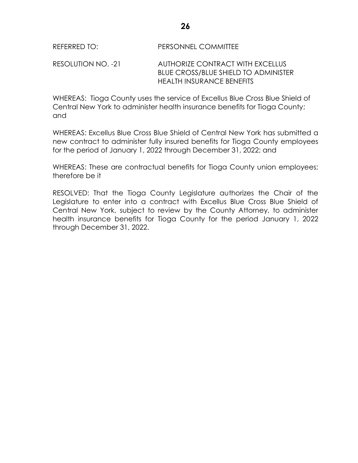RESOLUTION NO. -21 AUTHORIZE CONTRACT WITH EXCELLUS BLUE CROSS/BLUE SHIELD TO ADMINISTER HEALTH INSURANCE BENEFITS

WHEREAS: Tioga County uses the service of Excellus Blue Cross Blue Shield of Central New York to administer health insurance benefits for Tioga County; and

WHEREAS: Excellus Blue Cross Blue Shield of Central New York has submitted a new contract to administer fully insured benefits for Tioga County employees for the period of January 1, 2022 through December 31, 2022; and

WHEREAS: These are contractual benefits for Tioga County union employees; therefore be it

RESOLVED: That the Tioga County Legislature authorizes the Chair of the Legislature to enter into a contract with Excellus Blue Cross Blue Shield of Central New York, subject to review by the County Attorney, to administer health insurance benefits for Tioga County for the period January 1, 2022 through December 31, 2022.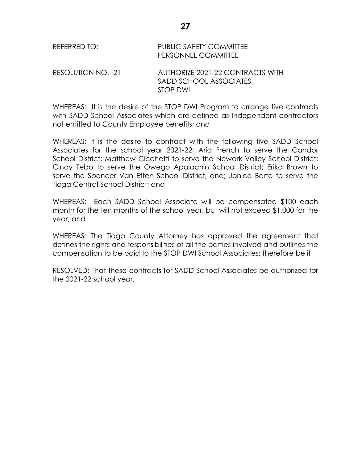| REFERRED TO:       | <b>PUBLIC SAFETY COMMITTEE</b><br>PERSONNEL COMMITTEE      |
|--------------------|------------------------------------------------------------|
| RESOLUTION NO. -21 | AUTHORIZE 2021-22 CONTRACTS WITH<br>SADD SCHOOL ASSOCIATES |
|                    | <b>STOP DWI</b>                                            |

WHEREAS: It is the desire of the STOP DWI Program to arrange five contracts with SADD School Associates which are defined as Independent contractors not entitled to County Employee benefits; and

WHEREAS: It is the desire to contract with the following five SADD School Associates for the school year 2021-22; Aria French to serve the Candor School District; Matthew Cicchetti to serve the Newark Valley School District; Cindy Tebo to serve the Owego Apalachin School District; Erika Brown to serve the Spencer Van Etten School District, and; Janice Barto to serve the Tioga Central School District; and

WHEREAS: Each SADD School Associate will be compensated \$100 each month for the ten months of the school year, but will not exceed \$1,000 for the year; and

WHEREAS: The Tioga County Attorney has approved the agreement that defines the rights and responsibilities of all the parties involved and outlines the compensation to be paid to the STOP DWI School Associates; therefore be it

RESOLVED: That these contracts for SADD School Associates be authorized for the 2021-22 school year.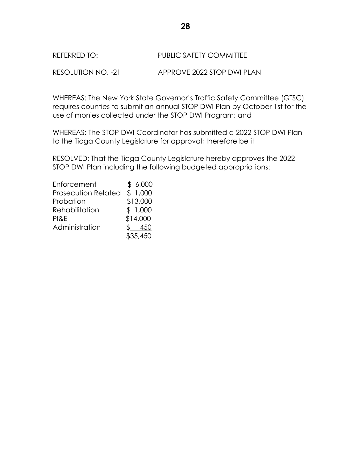## REFERRED TO: PUBLIC SAFETY COMMITTEE

RESOLUTION NO. -21 APPROVE 2022 STOP DWI PLAN

WHEREAS: The New York State Governor's Traffic Safety Committee (GTSC) requires counties to submit an annual STOP DWI Plan by October 1st for the use of monies collected under the STOP DWI Program; and

WHEREAS: The STOP DWI Coordinator has submitted a 2022 STOP DWI Plan to the Tioga County Legislature for approval; therefore be it

RESOLVED: That the Tioga County Legislature hereby approves the 2022 STOP DWI Plan including the following budgeted appropriations:

| Enforcement                | \$6,000  |
|----------------------------|----------|
| <b>Prosecution Related</b> | \$1,000  |
| Probation                  | \$13,000 |
| Rehabilitation             | \$1,000  |
| PI&E                       | \$14,000 |
| Administration             | 450      |
|                            | \$35,450 |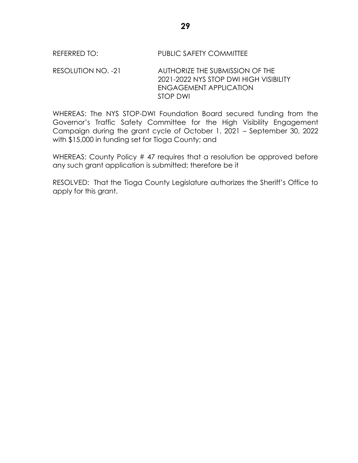## REFERRED TO: PUBLIC SAFETY COMMITTEE

RESOLUTION NO. -21 AUTHORIZE THE SUBMISSION OF THE 2021-2022 NYS STOP DWI HIGH VISIBILITY ENGAGEMENT APPLICATION STOP DWI

WHEREAS: The NYS STOP-DWI Foundation Board secured funding from the Governor's Traffic Safety Committee for the High Visibility Engagement Campaign during the grant cycle of October 1, 2021 – September 30, 2022 with \$15,000 in funding set for Tioga County; and

WHEREAS: County Policy #47 requires that a resolution be approved before any such grant application is submitted; therefore be it

RESOLVED: That the Tioga County Legislature authorizes the Sheriff's Office to apply for this grant.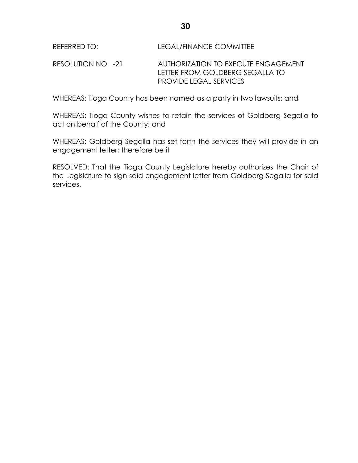RESOLUTION NO. -21 AUTHORIZATION TO EXECUTE ENGAGEMENT LETTER FROM GOLDBERG SEGALLA TO PROVIDE LEGAL SERVICES

WHEREAS: Tioga County has been named as a party in two lawsuits; and

WHEREAS: Tioga County wishes to retain the services of Goldberg Segalla to act on behalf of the County; and

WHEREAS: Goldberg Segalla has set forth the services they will provide in an engagement letter; therefore be it

RESOLVED: That the Tioga County Legislature hereby authorizes the Chair of the Legislature to sign said engagement letter from Goldberg Segalla for said services.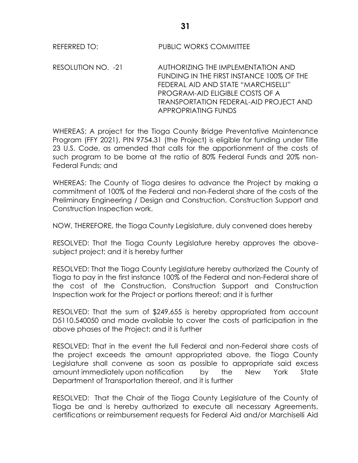RESOLUTION NO. -21 AUTHORIZING THE IMPLEMENTATION AND FUNDING IN THE FIRST INSTANCE 100% OF THE FEDERAL AID AND STATE "MARCHISELLI" PROGRAM-AID ELIGIBLE COSTS OF A TRANSPORTATION FEDERAL-AID PROJECT AND APPROPRIATING FUNDS

WHEREAS: A project for the Tioga County Bridge Preventative Maintenance Program (FFY 2021), PIN 9754.31 (the Project) is eligible for funding under Title 23 U.S. Code, as amended that calls for the apportionment of the costs of such program to be borne at the ratio of 80% Federal Funds and 20% non-Federal Funds; and

WHEREAS: The County of Tioga desires to advance the Project by making a commitment of 100% of the Federal and non-Federal share of the costs of the Preliminary Engineering / Design and Construction, Construction Support and Construction Inspection work.

NOW, THEREFORE, the Tioga County Legislature, duly convened does hereby

RESOLVED: That the Tioga County Legislature hereby approves the abovesubject project; and it is hereby further

RESOLVED: That the Tioga County Legislature hereby authorized the County of Tioga to pay in the first instance 100% of the Federal and non-Federal share of the cost of the Construction, Construction Support and Construction Inspection work for the Project or portions thereof; and it is further

RESOLVED: That the sum of \$249,655 is hereby appropriated from account D5110.540050 and made available to cover the costs of participation in the above phases of the Project; and it is further

RESOLVED: That in the event the full Federal and non-Federal share costs of the project exceeds the amount appropriated above, the Tioga County Legislature shall convene as soon as possible to appropriate said excess amount immediately upon notification by the New York State Department of Transportation thereof, and it is further

RESOLVED: That the Chair of the Tioga County Legislature of the County of Tioga be and is hereby authorized to execute all necessary Agreements, certifications or reimbursement requests for Federal Aid and/or Marchiselli Aid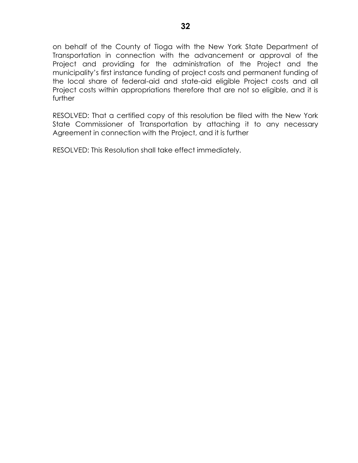on behalf of the County of Tioga with the New York State Department of Transportation in connection with the advancement or approval of the Project and providing for the administration of the Project and the municipality's first instance funding of project costs and permanent funding of the local share of federal-aid and state-aid eligible Project costs and all Project costs within appropriations therefore that are not so eligible, and it is further

RESOLVED: That a certified copy of this resolution be filed with the New York State Commissioner of Transportation by attaching it to any necessary Agreement in connection with the Project, and it is further

RESOLVED: This Resolution shall take effect immediately.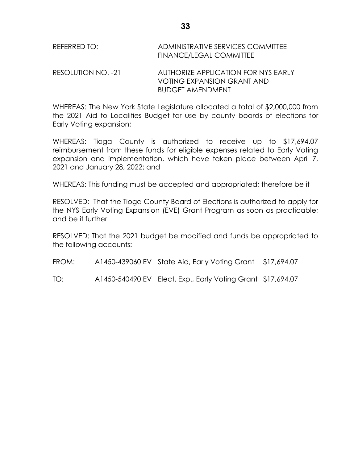| REFERRED TO:       | ADMINISTRATIVE SERVICES COMMITTEE<br><b>FINANCE/LEGAL COMMITTEE</b> |
|--------------------|---------------------------------------------------------------------|
| RESOLUTION NO. -21 | AUTHORIZE APPLICATION FOR NYS EARLY<br>VOTING EXPANSION GRANT AND   |

WHEREAS: The New York State Legislature allocated a total of \$2,000,000 from the 2021 Aid to Localities Budget for use by county boards of elections for Early Voting expansion;

BUDGET AMENDMENT

WHEREAS: Tioga County is authorized to receive up to \$17,694.07 reimbursement from these funds for eligible expenses related to Early Voting expansion and implementation, which have taken place between April 7, 2021 and January 28, 2022; and

WHEREAS: This funding must be accepted and appropriated; therefore be it

RESOLVED: That the Tioga County Board of Elections is authorized to apply for the NYS Early Voting Expansion (EVE) Grant Program as soon as practicable; and be it further

RESOLVED: That the 2021 budget be modified and funds be appropriated to the following accounts:

FROM: A1450-439060 EV State Aid, Early Voting Grant \$17,694.07

TO: A1450-540490 EV Elect. Exp., Early Voting Grant \$17,694.07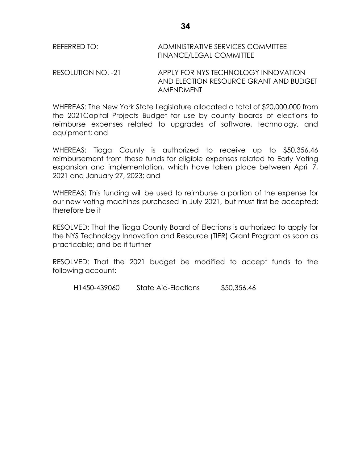| REFERRED TO:                                                                                           | ADMINISTRATIVE SERVICES COMMITTEE<br><b>FINANCE/LEGAL COMMITTEE</b> |
|--------------------------------------------------------------------------------------------------------|---------------------------------------------------------------------|
| $\begin{array}{cc}\n\text{DFC} & \text{DITI} & \text{DITI} & \text{DITI} & \text{DITI} \\ \end{array}$ | A DDLV FOD NIVE TEOLINIOLOOV INNIOVATIO                             |

RESOLUTION NO. -21 APPLY FOR NYS TECHNOLOGY INNOVATION AND ELECTION RESOURCE GRANT AND BUDGET AMENDMENT

WHEREAS: The New York State Legislature allocated a total of \$20,000,000 from the 2021Capital Projects Budget for use by county boards of elections to reimburse expenses related to upgrades of software, technology, and equipment; and

WHEREAS: Tioga County is authorized to receive up to \$50,356.46 reimbursement from these funds for eligible expenses related to Early Voting expansion and implementation, which have taken place between April 7, 2021 and January 27, 2023; and

WHEREAS: This funding will be used to reimburse a portion of the expense for our new voting machines purchased in July 2021, but must first be accepted; therefore be it

RESOLVED: That the Tioga County Board of Elections is authorized to apply for the NYS Technology Innovation and Resource (TIER) Grant Program as soon as practicable; and be it further

RESOLVED: That the 2021 budget be modified to accept funds to the following account:

H1450-439060 State Aid-Elections \$50,356.46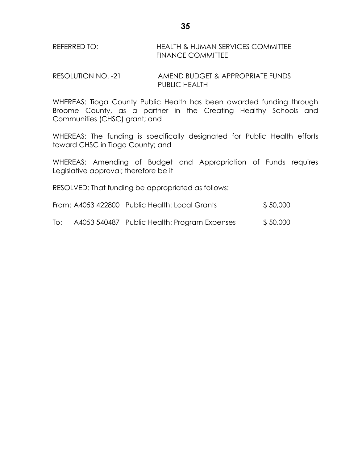## REFERRED TO: HEALTH & HUMAN SERVICES COMMITTEE FINANCE COMMITTEE

RESOLUTION NO. -21 AMEND BUDGET & APPROPRIATE FUNDS PUBLIC HEALTH

WHEREAS: Tioga County Public Health has been awarded funding through Broome County, as a partner in the Creating Healthy Schools and Communities (CHSC) grant; and

WHEREAS: The funding is specifically designated for Public Health efforts toward CHSC in Tioga County; and

WHEREAS: Amending of Budget and Appropriation of Funds requires Legislative approval; therefore be it

RESOLVED: That funding be appropriated as follows:

| From: A4053 422800 Public Health: Local Grants | \$50,000 |
|------------------------------------------------|----------|
|                                                |          |

To: A4053 540487 Public Health: Program Expenses \$ 50,000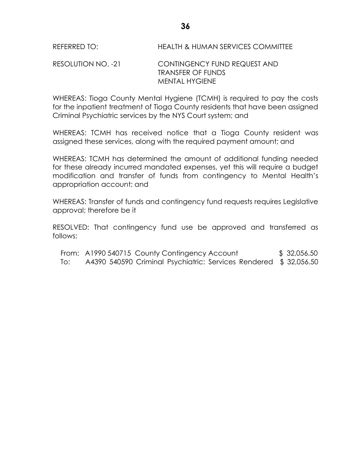## RESOLUTION NO. -21 CONTINGENCY FUND REQUEST AND TRANSFER OF FUNDS MENTAL HYGIENE

WHEREAS: Tioga County Mental Hygiene (TCMH) is required to pay the costs for the inpatient treatment of Tioga County residents that have been assigned Criminal Psychiatric services by the NYS Court system; and

WHEREAS: TCMH has received notice that a Tioga County resident was assigned these services, along with the required payment amount; and

WHEREAS: TCMH has determined the amount of additional funding needed for these already incurred mandated expenses, yet this will require a budget modification and transfer of funds from contingency to Mental Health's appropriation account; and

WHEREAS: Transfer of funds and contingency fund requests requires Legislative approval; therefore be it

RESOLVED: That contingency fund use be approved and transferred as follows:

|     | From: A1990 540715 County Contingency Account                    | \$32,056.50 |
|-----|------------------------------------------------------------------|-------------|
| To: | A4390 540590 Criminal Psychiatric: Services Rendered \$32,056.50 |             |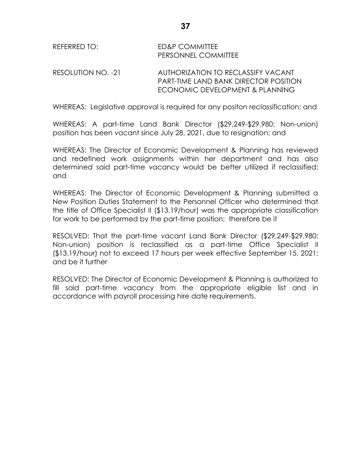WHEREAS: Legislative approval is required for any positon reclassification; and

ECONOMIC DEVELOPMENT & PLANNING

WHEREAS: A part-time Land Bank Director (\$29,249-\$29,980; Non-union) position has been vacant since July 28, 2021, due to resignation; and

WHEREAS: The Director of Economic Development & Planning has reviewed and redefined work assignments within her department and has also determined said part-time vacancy would be better utilized if reclassified; and

WHEREAS: The Director of Economic Development & Planning submitted a New Position Duties Statement to the Personnel Officer who determined that the title of Office Specialist II (\$13.19/hour) was the appropriate classification for work to be performed by the part-time position; therefore be it

RESOLVED: That the part-time vacant Land Bank Director (\$29,249-\$29,980; Non-union) position is reclassified as a part-time Office Specialist II (\$13.19/hour) not to exceed 17 hours per week effective September 15, 2021; and be it further

RESOLVED: The Director of Economic Development & Planning is authorized to fill said part-time vacancy from the appropriate eligible list and in accordance with payroll processing hire date requirements.